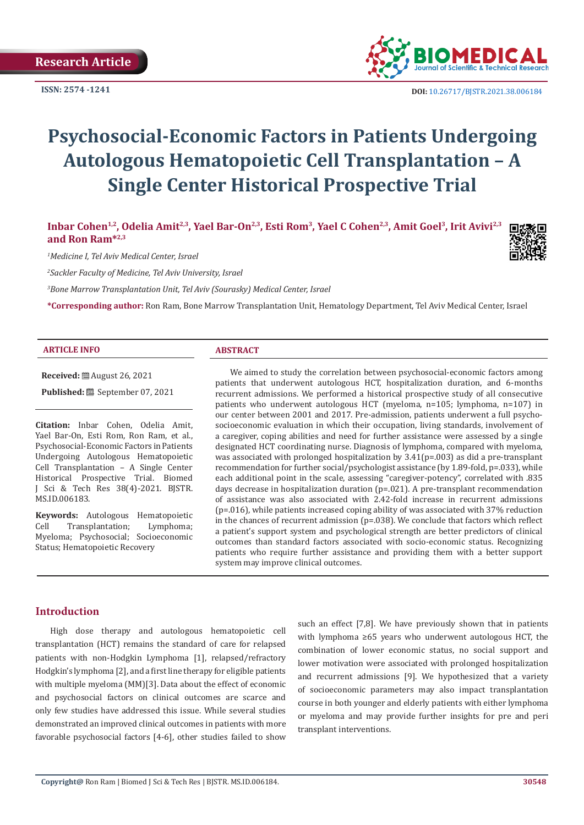**ISSN: 2574 -1241**



 **DOI:** [10.26717/BJSTR.2021.38.006184](https://dx.doi.org/10.26717/BJSTR.2021.38.006184)

# **Psychosocial-Economic Factors in Patients Undergoing Autologous Hematopoietic Cell Transplantation – A Single Center Historical Prospective Trial**

Inbar Cohen<sup>1,2</sup>, Odelia Amit<sup>2,3</sup>, Yael Bar-On<sup>2,3</sup>, Esti Rom<sup>3</sup>, Yael C Cohen<sup>2,3</sup>, Amit Goel<sup>3</sup>, Irit Avivi<sup>2,3</sup> **and Ron Ram\*2,3**

*1 Medicine I, Tel Aviv Medical Center, Israel*

*2 Sackler Faculty of Medicine, Tel Aviv University, Israel*

*3 Bone Marrow Transplantation Unit, Tel Aviv (Sourasky) Medical Center, Israel*

**\*Corresponding author:** Ron Ram, Bone Marrow Transplantation Unit, Hematology Department, Tel Aviv Medical Center, Israel

#### **ARTICLE INFO ABSTRACT**

**Received:** August 26, 2021

Published: **i**September 07, 2021

**Citation:** Inbar Cohen, Odelia Amit, Yael Bar-On, Esti Rom, Ron Ram, et al., Psychosocial-Economic Factors in Patients Undergoing Autologous Hematopoietic Cell Transplantation – A Single Center Historical Prospective Trial. Biomed J Sci & Tech Res 38(4)-2021. BJSTR. MS.ID.006183.

**Keywords:** Autologous Hematopoietic<br>Cell Transplantation; Lymphoma; Transplantation; Myeloma; Psychosocial; Socioeconomic Status; Hematopoietic Recovery

We aimed to study the correlation between psychosocial-economic factors among patients that underwent autologous HCT, hospitalization duration, and 6-months recurrent admissions. We performed a historical prospective study of all consecutive patients who underwent autologous HCT (myeloma, n=105; lymphoma, n=107) in our center between 2001 and 2017. Pre-admission, patients underwent a full psychosocioeconomic evaluation in which their occupation, living standards, involvement of a caregiver, coping abilities and need for further assistance were assessed by a single designated HCT coordinating nurse. Diagnosis of lymphoma, compared with myeloma, was associated with prolonged hospitalization by 3.41(p=.003) as did a pre-transplant recommendation for further social/psychologist assistance (by 1.89-fold, p=.033), while each additional point in the scale, assessing "caregiver-potency", correlated with .835 days decrease in hospitalization duration  $(p=.021)$ . A pre-transplant recommendation of assistance was also associated with 2.42-fold increase in recurrent admissions  $(p=0.016)$ , while patients increased coping ability of was associated with 37% reduction in the chances of recurrent admission (p=.038). We conclude that factors which reflect a patient's support system and psychological strength are better predictors of clinical outcomes than standard factors associated with socio-economic status. Recognizing patients who require further assistance and providing them with a better support system may improve clinical outcomes.

## **Introduction**

High dose therapy and autologous hematopoietic cell transplantation (HCT) remains the standard of care for relapsed patients with non-Hodgkin Lymphoma [1], relapsed/refractory Hodgkin's lymphoma [2], and a first line therapy for eligible patients with multiple myeloma (MM)[3]. Data about the effect of economic and psychosocial factors on clinical outcomes are scarce and only few studies have addressed this issue. While several studies demonstrated an improved clinical outcomes in patients with more favorable psychosocial factors [4-6], other studies failed to show

such an effect [7,8]. We have previously shown that in patients with lymphoma ≥65 years who underwent autologous HCT, the combination of lower economic status, no social support and lower motivation were associated with prolonged hospitalization and recurrent admissions [9]. We hypothesized that a variety of socioeconomic parameters may also impact transplantation course in both younger and elderly patients with either lymphoma or myeloma and may provide further insights for pre and peri transplant interventions.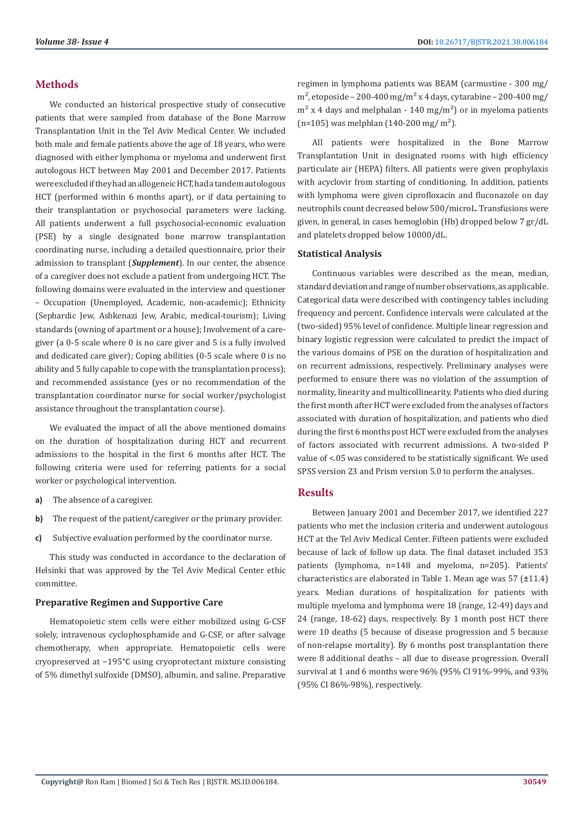## **Methods**

We conducted an historical prospective study of consecutive patients that were sampled from database of the Bone Marrow Transplantation Unit in the Tel Aviv Medical Center. We included both male and female patients above the age of 18 years, who were diagnosed with either lymphoma or myeloma and underwent first autologous HCT between May 2001 and December 2017. Patients were excluded if they had an allogeneic HCT, had a tandem autologous HCT (performed within 6 months apart), or if data pertaining to their transplantation or psychosocial parameters were lacking. All patients underwent a full psychosocial-economic evaluation (PSE) by a single designated bone marrow transplantation coordinating nurse, including a detailed questionnaire, prior their admission to transplant (*Supplement*). In our center, the absence of a caregiver does not exclude a patient from undergoing HCT. The following domains were evaluated in the interview and questioner – Occupation (Unemployed, Academic, non-academic); Ethnicity (Sephardic Jew, Ashkenazi Jew, Arabic, medical-tourism); Living standards (owning of apartment or a house); Involvement of a caregiver (a 0-5 scale where 0 is no care giver and 5 is a fully involved and dedicated care giver); Coping abilities (0-5 scale where 0 is no ability and 5 fully capable to cope with the transplantation process); and recommended assistance (yes or no recommendation of the transplantation coordinator nurse for social worker/psychologist assistance throughout the transplantation course).

We evaluated the impact of all the above mentioned domains on the duration of hospitalization during HCT and recurrent admissions to the hospital in the first 6 months after HCT. The following criteria were used for referring patients for a social worker or psychological intervention.

- **a)** The absence of a caregiver.
- **b)** The request of the patient/caregiver or the primary provider.
- **c)** Subjective evaluation performed by the coordinator nurse.

This study was conducted in accordance to the declaration of Helsinki that was approved by the Tel Aviv Medical Center ethic committee.

#### **Preparative Regimen and Supportive Care**

Hematopoietic stem cells were either mobilized using G-CSF solely, intravenous cyclophosphamide and G-CSF, or after salvage chemotherapy, when appropriate. Hematopoietic cells were cryopreserved at −195°C using cryoprotectant mixture consisting of 5% dimethyl sulfoxide (DMSO), albumin, and saline. Preparative

regimen in lymphoma patients was BEAM (carmustine - 300 mg/  $m<sup>2</sup>$ , etoposide – 200-400 mg/m<sup>2</sup> x 4 days, cytarabine – 200-400 mg/  $m<sup>2</sup>$  x 4 days and melphalan - 140 mg/m<sup>2</sup>) or in myeloma patients  $(n=105)$  was melphlan  $(140-200 \text{ mg/m}^2)$ .

All patients were hospitalized in the Bone Marrow Transplantation Unit in designated rooms with high efficiency particulate air (HEPA) filters. All patients were given prophylaxis with acyclovir from starting of conditioning. In addition, patients with lymphoma were given ciprofloxacin and fluconazole on day neutrophils count decreased below 500/microL. Transfusions were given, in general, in cases hemoglobin (Hb) dropped below 7 gr/dL and platelets dropped below 10000/dL.

#### **Statistical Analysis**

Continuous variables were described as the mean, median, standard deviation and range of number observations, as applicable. Categorical data were described with contingency tables including frequency and percent. Confidence intervals were calculated at the (two-sided) 95% level of confidence. Multiple linear regression and binary logistic regression were calculated to predict the impact of the various domains of PSE on the duration of hospitalization and on recurrent admissions, respectively. Preliminary analyses were performed to ensure there was no violation of the assumption of normality, linearity and multicollinearity. Patients who died during the first month after HCT were excluded from the analyses of factors associated with duration of hospitalization, and patients who died during the first 6 months post HCT were excluded from the analyses of factors associated with recurrent admissions. A two-sided P value of <.05 was considered to be statistically significant. We used SPSS version 23 and Prism version 5.0 to perform the analyses.

## **Results**

Between January 2001 and December 2017, we identified 227 patients who met the inclusion criteria and underwent autologous HCT at the Tel Aviv Medical Center. Fifteen patients were excluded because of lack of follow up data. The final dataset included 353 patients (lymphoma, n=148 and myeloma, n=205). Patients' characteristics are elaborated in Table 1. Mean age was 57 (±11.4) years. Median durations of hospitalization for patients with multiple myeloma and lymphoma were 18 (range, 12-49) days and 24 (range, 18-62) days, respectively. By 1 month post HCT there were 10 deaths (5 because of disease progression and 5 because of non-relapse mortality). By 6 months post transplantation there were 8 additional deaths – all due to disease progression. Overall survival at 1 and 6 months were 96% (95% CI 91%-99%, and 93% (95% CI 86%-98%), respectively.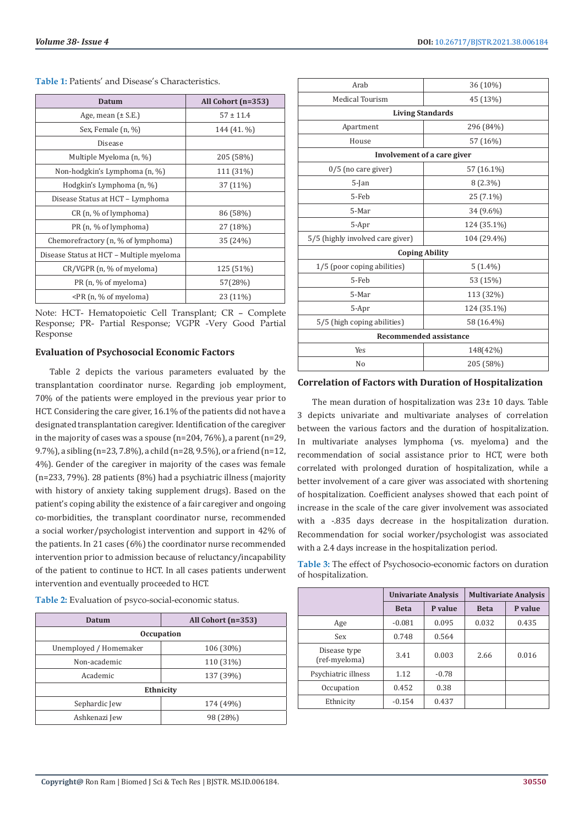| <b>Datum</b>                                                    | All Cohort (n=353) |  |  |  |
|-----------------------------------------------------------------|--------------------|--|--|--|
| Age, mean $(\pm S.E.)$                                          | $57 \pm 11.4$      |  |  |  |
| Sex, Female (n, %)                                              | 144 (41. %)        |  |  |  |
| Disease                                                         |                    |  |  |  |
| Multiple Myeloma (n, %)                                         | 205 (58%)          |  |  |  |
| Non-hodgkin's Lymphoma (n, %)                                   | 111 (31%)          |  |  |  |
| Hodgkin's Lymphoma (n, %)                                       | 37 (11%)           |  |  |  |
| Disease Status at HCT - Lymphoma                                |                    |  |  |  |
| CR (n, % of lymphoma)                                           | 86 (58%)           |  |  |  |
| PR (n, % of lymphoma)                                           | 27 (18%)           |  |  |  |
| Chemorefractory (n, % of lymphoma)                              | 35 (24%)           |  |  |  |
| Disease Status at HCT - Multiple myeloma                        |                    |  |  |  |
| CR/VGPR (n, % of myeloma)                                       | 125 (51%)          |  |  |  |
| PR (n, % of myeloma)                                            | 57(28%)            |  |  |  |
| <pr %="" (n,="" myeloma)<="" of="" td=""><td>23 (11%)</td></pr> | 23 (11%)           |  |  |  |

**Table 1:** Patients' and Disease's Characteristics.

Note: HCT- Hematopoietic Cell Transplant; CR – Complete Response; PR- Partial Response; VGPR -Very Good Partial Response

### **Evaluation of Psychosocial Economic Factors**

Table 2 depicts the various parameters evaluated by the transplantation coordinator nurse. Regarding job employment, 70% of the patients were employed in the previous year prior to HCT. Considering the care giver, 16.1% of the patients did not have a designated transplantation caregiver. Identification of the caregiver in the majority of cases was a spouse (n=204, 76%), a parent (n=29, 9.7%), a sibling (n=23, 7.8%), a child (n=28, 9.5%), or a friend (n=12, 4%). Gender of the caregiver in majority of the cases was female (n=233, 79%). 28 patients (8%) had a psychiatric illness (majority with history of anxiety taking supplement drugs). Based on the patient's coping ability the existence of a fair caregiver and ongoing co-morbidities, the transplant coordinator nurse, recommended a social worker/psychologist intervention and support in 42% of the patients. In 21 cases (6%) the coordinator nurse recommended intervention prior to admission because of reluctancy/incapability of the patient to continue to HCT. In all cases patients underwent intervention and eventually proceeded to HCT.

| Datum                  | All Cohort (n=353) |  |  |  |
|------------------------|--------------------|--|--|--|
| <b>Occupation</b>      |                    |  |  |  |
| Unemployed / Homemaker | 106 (30%)          |  |  |  |
| Non-academic           | 110 (31%)          |  |  |  |
| Academic               | 137 (39%)          |  |  |  |
| Ethnicity              |                    |  |  |  |
| Sephardic Jew          | 174 (49%)          |  |  |  |
| Ashkenazi Jew          | 98 (28%)           |  |  |  |

**Table 2:** Evaluation of psyco-social-economic status.

| Arab                                | 36 (10%)    |  |  |  |  |
|-------------------------------------|-------------|--|--|--|--|
| <b>Medical Tourism</b>              | 45 (13%)    |  |  |  |  |
| <b>Living Standards</b>             |             |  |  |  |  |
| Apartment                           | 296 (84%)   |  |  |  |  |
| House                               | 57 (16%)    |  |  |  |  |
| Involvement of a care giver         |             |  |  |  |  |
| $0/5$ (no care giver)<br>57 (16.1%) |             |  |  |  |  |
| $5$ -Jan                            | $8(2.3\%)$  |  |  |  |  |
| 5-Feb                               | 25 (7.1%)   |  |  |  |  |
| 5-Mar                               | 34 (9.6%)   |  |  |  |  |
| 5-Apr                               | 124 (35.1%) |  |  |  |  |
| 5/5 (highly involved care giver)    | 104 (29.4%) |  |  |  |  |
| <b>Coping Ability</b>               |             |  |  |  |  |
| 1/5 (poor coping abilities)         | $5(1.4\%)$  |  |  |  |  |
| 5-Feb                               | 53 (15%)    |  |  |  |  |
| 5-Mar                               | 113 (32%)   |  |  |  |  |
| 5-Apr                               | 124 (35.1%) |  |  |  |  |
| 5/5 (high coping abilities)         | 58 (16.4%)  |  |  |  |  |
| <b>Recommended assistance</b>       |             |  |  |  |  |
| Yes                                 | 148(42%)    |  |  |  |  |
| No                                  | 205 (58%)   |  |  |  |  |
|                                     |             |  |  |  |  |

## **Correlation of Factors with Duration of Hospitalization**

The mean duration of hospitalization was 23± 10 days. Table 3 depicts univariate and multivariate analyses of correlation between the various factors and the duration of hospitalization. In multivariate analyses lymphoma (vs. myeloma) and the recommendation of social assistance prior to HCT, were both correlated with prolonged duration of hospitalization, while a better involvement of a care giver was associated with shortening of hospitalization. Coefficient analyses showed that each point of increase in the scale of the care giver involvement was associated with a -.835 days decrease in the hospitalization duration. Recommendation for social worker/psychologist was associated with a 2.4 days increase in the hospitalization period.

**Table 3:** The effect of Psychosocio-economic factors on duration of hospitalization.

|                               |             | <b>Univariate Analysis</b> | <b>Multivariate Analysis</b> |         |  |
|-------------------------------|-------------|----------------------------|------------------------------|---------|--|
|                               | <b>Beta</b> | P value                    | <b>Beta</b>                  | P value |  |
| Age                           | $-0.081$    | 0.095                      | 0.032                        | 0.435   |  |
| Sex                           | 0.748       | 0.564                      |                              |         |  |
| Disease type<br>(ref-myeloma) | 3.41        | 0.003                      | 2.66                         | 0.016   |  |
| Psychiatric illness           | 1.12        | $-0.78$                    |                              |         |  |
| Occupation                    | 0.452       | 0.38                       |                              |         |  |
| Ethnicity                     | $-0.154$    | 0.437                      |                              |         |  |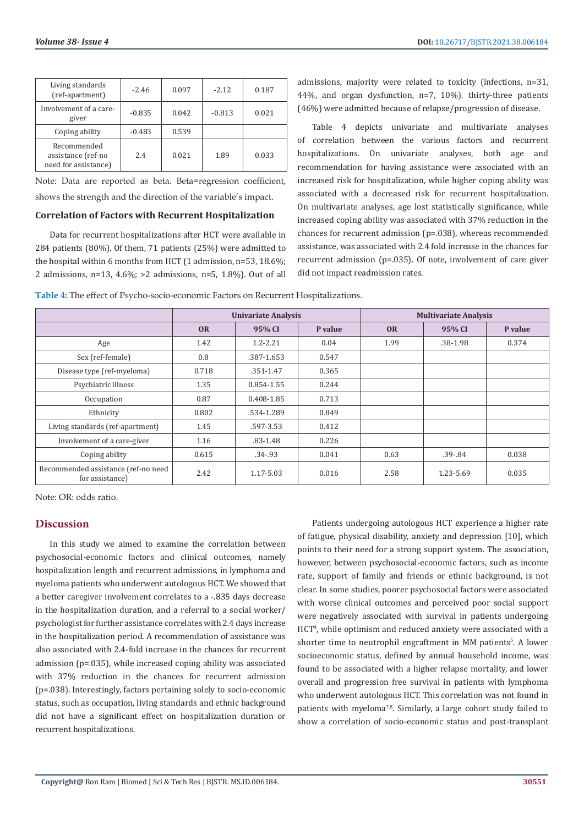| Living standards<br>(ref-apartment)                       | $-2.46$  | 0.097 | $-2.12$  | 0.187 |
|-----------------------------------------------------------|----------|-------|----------|-------|
| Involvement of a care-<br>giver                           | $-0.835$ | 0.042 | $-0.813$ | 0.021 |
| Coping ability                                            | $-0.483$ | 0.539 |          |       |
| Recommended<br>assistance (ref-no<br>need for assistance) | 2.4      | 0.021 | 1.89     | 0.033 |

Note: Data are reported as beta. Beta=regression coefficient, shows the strength and the direction of the variable's impact.

### **Correlation of Factors with Recurrent Hospitalization**

Data for recurrent hospitalizations after HCT were available in 284 patients (80%). Of them, 71 patients (25%) were admitted to the hospital within 6 months from HCT (1 admission, n=53, 18.6%; 2 admissions, n=13, 4.6%; >2 admissions, n=5, 1.8%). Out of all admissions, majority were related to toxicity (infections, n=31, 44%, and organ dysfunction, n=7, 10%). thirty-three patients (46%) were admitted because of relapse/progression of disease.

Table 4 depicts univariate and multivariate analyses of correlation between the various factors and recurrent hospitalizations. On univariate analyses, both age and recommendation for having assistance were associated with an increased risk for hospitalization, while higher coping ability was associated with a decreased risk for recurrent hospitalization. On multivariate analyses, age lost statistically significance, while increased coping ability was associated with 37% reduction in the chances for recurrent admission (p=.038), whereas recommended assistance, was associated with 2.4 fold increase in the chances for recurrent admission (p=.035). Of note, involvement of care giver did not impact readmission rates.

| <b>Table 4:</b> The effect of Psycho-socio-economic Factors on Recurrent Hospitalizations. |
|--------------------------------------------------------------------------------------------|
|--------------------------------------------------------------------------------------------|

|                                                        | <b>Univariate Analysis</b> |              | <b>Multivariate Analysis</b> |           |             |         |
|--------------------------------------------------------|----------------------------|--------------|------------------------------|-----------|-------------|---------|
|                                                        | <b>OR</b>                  | 95% CI       | P value                      | <b>OR</b> | 95% CI      | P value |
| Age                                                    | 1.42                       | $1.2 - 2.21$ | 0.04                         | 1.99      | .38-1.98    | 0.374   |
| Sex (ref-female)                                       | 0.8                        | .387-1.653   | 0.547                        |           |             |         |
| Disease type (ref-myeloma)                             | 0.718                      | .351-1.47    | 0.365                        |           |             |         |
| Psychiatric illness                                    | 1.35                       | 0.854-1.55   | 0.244                        |           |             |         |
| Occupation                                             | 0.87                       | 0.408-1.85   | 0.713                        |           |             |         |
| Ethnicity                                              | 0.802                      | .534-1.289   | 0.849                        |           |             |         |
| Living standards (ref-apartment)                       | 1.45                       | .597-3.53    | 0.412                        |           |             |         |
| Involvement of a care-giver                            | 1.16                       | $.83 - 1.48$ | 0.226                        |           |             |         |
| Coping ability                                         | 0.615                      | $.34 - .93$  | 0.041                        | 0.63      | $.39 - .84$ | 0.038   |
| Recommended assistance (ref-no need<br>for assistance) | 2.42                       | 1.17-5.03    | 0.016                        | 2.58      | 1.23-5.69   | 0.035   |

Note: OR: odds ratio.

# **Discussion**

In this study we aimed to examine the correlation between psychosocial-economic factors and clinical outcomes, namely hospitalization length and recurrent admissions, in lymphoma and myeloma patients who underwent autologous HCT. We showed that a better caregiver involvement correlates to a -.835 days decrease in the hospitalization duration, and a referral to a social worker/ psychologist for further assistance correlates with 2.4 days increase in the hospitalization period. A recommendation of assistance was also associated with 2.4-fold increase in the chances for recurrent admission (p=.035), while increased coping ability was associated with 37% reduction in the chances for recurrent admission (p=.038). Interestingly, factors pertaining solely to socio-economic status, such as occupation, living standards and ethnic background did not have a significant effect on hospitalization duration or recurrent hospitalizations.

Patients undergoing autologous HCT experience a higher rate of fatigue, physical disability, anxiety and depression [10], which points to their need for a strong support system. The association, however, between psychosocial-economic factors, such as income rate, support of family and friends or ethnic background, is not clear. In some studies, poorer psychosocial factors were associated with worse clinical outcomes and perceived poor social support were negatively associated with survival in patients undergoing HCT4 , while optimism and reduced anxiety were associated with a shorter time to neutrophil engraftment in MM patients<sup>5</sup>. A lower socioeconomic status, defined by annual household income, was found to be associated with a higher relapse mortality, and lower overall and progression free survival in patients with lymphoma who underwent autologous HCT. This correlation was not found in patients with myeloma<sup>7,8</sup>. Similarly, a large cohort study failed to show a correlation of socio-economic status and post-transplant